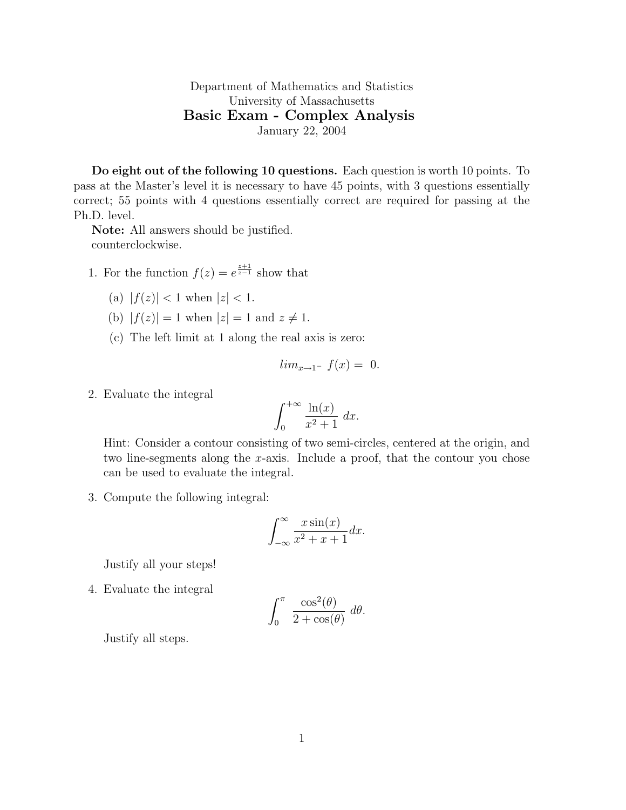Department of Mathematics and Statistics University of Massachusetts Basic Exam - Complex Analysis January 22, 2004

Do eight out of the following 10 questions. Each question is worth 10 points. To pass at the Master's level it is necessary to have 45 points, with 3 questions essentially correct; 55 points with 4 questions essentially correct are required for passing at the Ph.D. level.

Note: All answers should be justified. counterclockwise.

- 1. For the function  $f(z) = e^{\frac{z+1}{z-1}}$  show that
	- (a)  $|f(z)| < 1$  when  $|z| < 1$ .
	- (b)  $|f(z)| = 1$  when  $|z| = 1$  and  $z \neq 1$ .
	- (c) The left limit at 1 along the real axis is zero:

$$
lim_{x \to 1^{-}} f(x) = 0.
$$

2. Evaluate the integral

$$
\int_0^{+\infty} \frac{\ln(x)}{x^2 + 1} \, dx.
$$

Hint: Consider a contour consisting of two semi-circles, centered at the origin, and two line-segments along the x-axis. Include a proof, that the contour you chose can be used to evaluate the integral.

3. Compute the following integral:

$$
\int_{-\infty}^{\infty} \frac{x \sin(x)}{x^2 + x + 1} dx.
$$

Justify all your steps!

4. Evaluate the integral

$$
\int_0^\pi \frac{\cos^2(\theta)}{2 + \cos(\theta)} d\theta.
$$

Justify all steps.